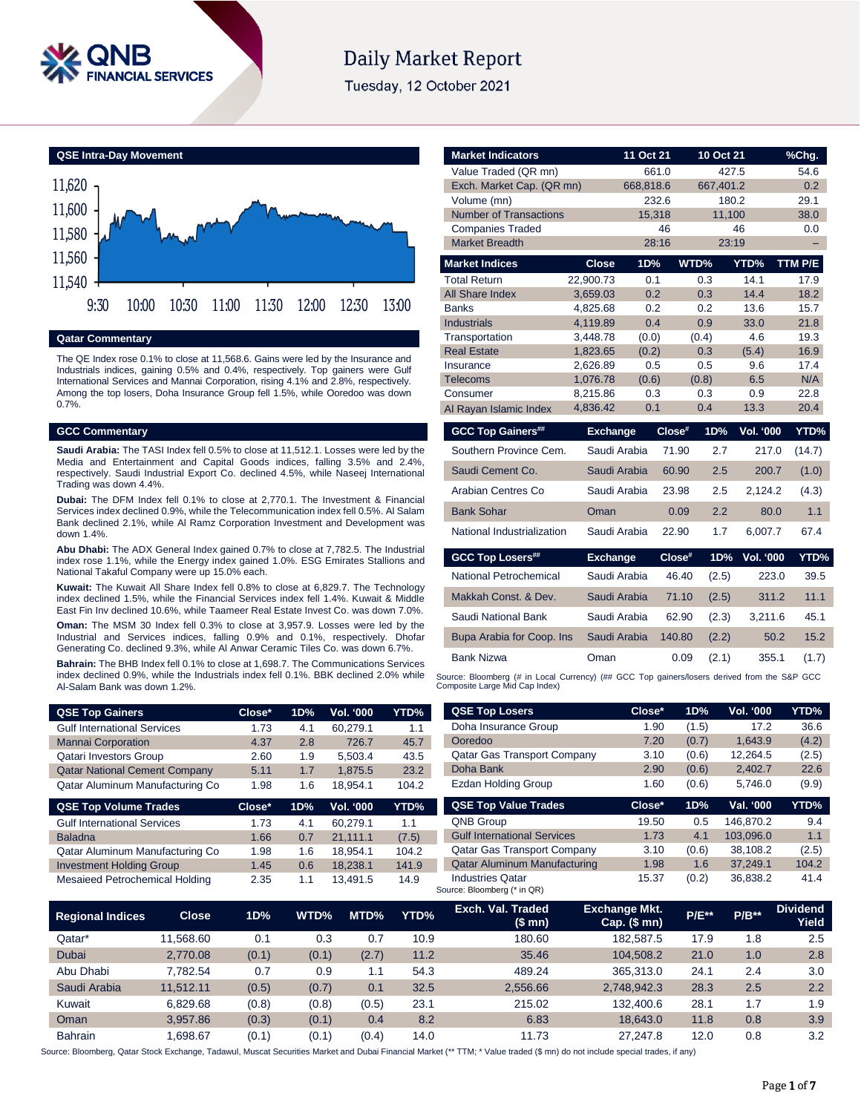

# **Daily Market Report**

Tuesday, 12 October 2021



#### **Qatar Commentary**

The QE Index rose 0.1% to close at 11,568.6. Gains were led by the Insurance and Industrials indices, gaining 0.5% and 0.4%, respectively. Top gainers were Gulf International Services and Mannai Corporation, rising 4.1% and 2.8%, respectively. Among the top losers, Doha Insurance Group fell 1.5%, while Ooredoo was down 0.7%.

#### **GCC Commentary**

**Saudi Arabia:** The TASI Index fell 0.5% to close at 11,512.1. Losses were led by the Media and Entertainment and Capital Goods indices, falling 3.5% and 2.4%, respectively. Saudi Industrial Export Co. declined 4.5%, while Naseej International Trading was down 4.4%.

**Dubai:** The DFM Index fell 0.1% to close at 2,770.1. The Investment & Financial Services index declined 0.9%, while the Telecommunication index fell 0.5%. Al Salam Bank declined 2.1%, while Al Ramz Corporation Investment and Development was down 1.4%.

**Abu Dhabi:** The ADX General Index gained 0.7% to close at 7,782.5. The Industrial index rose 1.1%, while the Energy index gained 1.0%. ESG Emirates Stallions and National Takaful Company were up 15.0% each.

**Kuwait:** The Kuwait All Share Index fell 0.8% to close at 6,829.7. The Technology index declined 1.5%, while the Financial Services index fell 1.4%. Kuwait & Middle East Fin Inv declined 10.6%, while Taameer Real Estate Invest Co. was down 7.0%.

**Oman:** The MSM 30 Index fell 0.3% to close at 3,957.9. Losses were led by the Industrial and Services indices, falling 0.9% and 0.1%, respectively. Dhofar Generating Co. declined 9.3%, while Al Anwar Ceramic Tiles Co. was down 6.7%.

**Bahrain:** The BHB Index fell 0.1% to close at 1,698.7. The Communications Services index declined 0.9%, while the Industrials index fell 0.1%. BBK declined 2.0% while Al-Salam Bank was down 1.2%.

| <b>QSE Top Gainers</b>               | Close* | 1D% | <b>Vol. '000</b> | YTD%  |
|--------------------------------------|--------|-----|------------------|-------|
| <b>Gulf International Services</b>   | 1.73   | 4.1 | 60.279.1         | 1.1   |
| <b>Mannai Corporation</b>            | 4.37   | 2.8 | 726.7            | 45.7  |
| <b>Qatari Investors Group</b>        | 2.60   | 1.9 | 5.503.4          | 43.5  |
| <b>Qatar National Cement Company</b> | 5.11   | 1.7 | 1.875.5          | 23.2  |
| Qatar Aluminum Manufacturing Co      | 1.98   | 1.6 | 18.954.1         | 104.2 |

| <b>QSE Top Volume Trades</b>          | $Close^*$ | 1D% | <b>Vol. '000</b> | YTD%  |
|---------------------------------------|-----------|-----|------------------|-------|
| <b>Gulf International Services</b>    | 1.73      | 4.1 | 60.279.1         | 1.1   |
| <b>Baladna</b>                        | 1.66      | 0.7 | 21.111.1         | (7.5) |
| Qatar Aluminum Manufacturing Co       | 1.98      | 1.6 | 18.954.1         | 104.2 |
| <b>Investment Holding Group</b>       | 1.45      | 0.6 | 18.238.1         | 141.9 |
| <b>Mesaieed Petrochemical Holding</b> | 2.35      | 11  | 13.491.5         | 14.9  |

| <b>Market Indicators</b>      |                 | 11 Oct 21    |        | 10 Oct 21  |                  | %Chg.   |
|-------------------------------|-----------------|--------------|--------|------------|------------------|---------|
| Value Traded (QR mn)          |                 | 661.0        |        | 427.5      |                  | 54.6    |
| Exch. Market Cap. (QR mn)     |                 | 668,818.6    |        | 667,401.2  |                  | 0.2     |
| Volume (mn)                   |                 | 232.6        |        | 180.2      |                  | 29.1    |
| <b>Number of Transactions</b> |                 | 15,318       |        | 11,100     |                  | 38.0    |
| <b>Companies Traded</b>       |                 |              | 46     |            | 46               | 0.0     |
| <b>Market Breadth</b>         |                 | 28:16        |        | 23:19      |                  |         |
| <b>Market Indices</b>         | <b>Close</b>    | 1D%          |        | WTD%       | YTD%             | TTM P/E |
| <b>Total Return</b>           | 22,900.73       | 0.1          |        | 0.3        | 14.1             | 17.9    |
| <b>All Share Index</b>        | 3,659.03        | 0.2          |        | 0.3        | 14.4             | 18.2    |
| <b>Banks</b>                  | 4,825.68        | 0.2          |        | 0.2        | 13.6             | 15.7    |
| <b>Industrials</b>            | 4,119.89        | 0.4          |        | 0.9        | 33.0             | 21.8    |
| Transportation                | 3,448.78        | (0.0)        |        | (0.4)      | 4.6              | 19.3    |
| <b>Real Estate</b>            | 1,823.65        | (0.2)        |        | 0.3        | (5.4)            | 16.9    |
| Insurance                     | 2,626.89        | 0.5          |        | 0.5        | 9.6              | 17.4    |
| <b>Telecoms</b>               | 1,076.78        | (0.6)        |        | (0.8)      | 6.5              | N/A     |
| Consumer                      | 8,215.86        | 0.3<br>0.1   |        | 0.3<br>0.4 | 0.9<br>13.3      | 22.8    |
| Al Rayan Islamic Index        | 4,836.42        |              |        |            |                  | 20.4    |
| <b>GCC Top Gainers##</b>      | <b>Exchange</b> |              | Close# | 1D%        | <b>Vol. '000</b> | YTD%    |
| Southern Province Cem.        |                 | Saudi Arabia | 71.90  | 2.7        | 217.0            | (14.7)  |
| Saudi Cement Co.              |                 | Saudi Arabia | 60.90  | 2.5        | 200.7            | (1.0)   |
| Arabian Centres Co            |                 | Saudi Arabia | 23.98  | 2.5        | 2,124.2          | (4.3)   |
| <b>Bank Sohar</b>             | Oman            |              | 0.09   | 2.2        | 80.0             | 1.1     |
| National Industrialization    |                 | Saudi Arabia | 22.90  | 1.7        | 6,007.7          | 67.4    |
| <b>GCC Top Losers##</b>       | <b>Exchange</b> |              | Close# | 1D%        | Vol. '000        | YTD%    |
| National Petrochemical        |                 | Saudi Arabia | 46.40  | (2.5)      | 223.0            | 39.5    |
| Makkah Const. & Dev.          |                 | Saudi Arabia | 71.10  | (2.5)      | 311.2            | 11.1    |
| Saudi National Bank           |                 | Saudi Arabia | 62.90  | (2.3)      | 3,211.6          | 45.1    |
| Bupa Arabia for Coop. Ins     |                 | Saudi Arabia | 140.80 | (2.2)      | 50.2             | 15.2    |
| <b>Bank Nizwa</b>             | Oman            |              | 0.09   | (2.1)      | 355.1            | (1.7)   |

Source: Bloomberg (# in Local Currency) (## GCC Top gainers/losers derived from the S&P GCC Composite Large Mid Cap Index)

| <b>QSE Top Losers</b>               | Close* | 1D%   | <b>Vol. '000</b> | YTD%  |
|-------------------------------------|--------|-------|------------------|-------|
| Doha Insurance Group                | 1.90   | (1.5) | 17.2             | 36.6  |
| Ooredoo                             | 7.20   | (0.7) | 1.643.9          | (4.2) |
| <b>Qatar Gas Transport Company</b>  | 3.10   | (0.6) | 12,264.5         | (2.5) |
| Doha Bank                           | 2.90   | (0.6) | 2,402.7          | 22.6  |
| Ezdan Holding Group                 | 1.60   | (0.6) | 5.746.0          | (9.9) |
|                                     |        |       |                  |       |
| <b>QSE Top Value Trades</b>         | Close* | 1D%   | Val. '000        | YTD%  |
| <b>QNB Group</b>                    | 19.50  | 0.5   | 146.870.2        | 9.4   |
| <b>Gulf International Services</b>  | 1.73   | 4.1   | 103.096.0        | 1.1   |
| Qatar Gas Transport Company         | 3.10   | (0.6) | 38.108.2         | (2.5) |
| <b>Qatar Aluminum Manufacturing</b> | 1.98   | 1.6   | 37.249.1         | 104.2 |

| <b>Regional Indices</b> | Close.    | 1D%   | WTD%  | MTD%  | YTD% | Exch. Val. Traded<br>(\$mn) | <b>Exchange Mkt.</b><br>Cap. (\$ mn) | <b>P/E**</b> | $P/B**$ | <b>Dividend</b><br>Yield |
|-------------------------|-----------|-------|-------|-------|------|-----------------------------|--------------------------------------|--------------|---------|--------------------------|
| Qatar*                  | 11.568.60 | 0.1   | 0.3   | 0.7   | 10.9 | 180.60                      | 182.587.5                            | 17.9         | 1.8     | 2.5                      |
| Dubai                   | 2.770.08  | (0.1) | (0.1) | (2.7) | 11.2 | 35.46                       | 104.508.2                            | 21.0         | 1.0     | 2.8                      |
| Abu Dhabi               | 7.782.54  | 0.7   | 0.9   | 1.1   | 54.3 | 489.24                      | 365.313.0                            | 24.1         | 2.4     | 3.0                      |
| Saudi Arabia            | 11.512.11 | (0.5) | (0.7) | 0.1   | 32.5 | 2.556.66                    | 2.748.942.3                          | 28.3         | 2.5     | 2.2                      |
| Kuwait                  | 6.829.68  | (0.8) | (0.8) | (0.5) | 23.1 | 215.02                      | 132,400.6                            | 28.1         | 1.7     | 1.9                      |
| Oman                    | 3.957.86  | (0.3) | (0.1) | 0.4   | 8.2  | 6.83                        | 18.643.0                             | 11.8         | 0.8     | 3.9                      |
| <b>Bahrain</b>          | .698.67   | (0.1) | (0.1) | (0.4) | 14.0 | 11.73                       | 27.247.8                             | 12.0         | 0.8     | 3.2                      |

Source: Bloomberg, Qatar Stock Exchange, Tadawul, Muscat Securities Market and Dubai Financial Market (\*\* TTM; \* Value traded (\$ mn) do not include special trades, if any)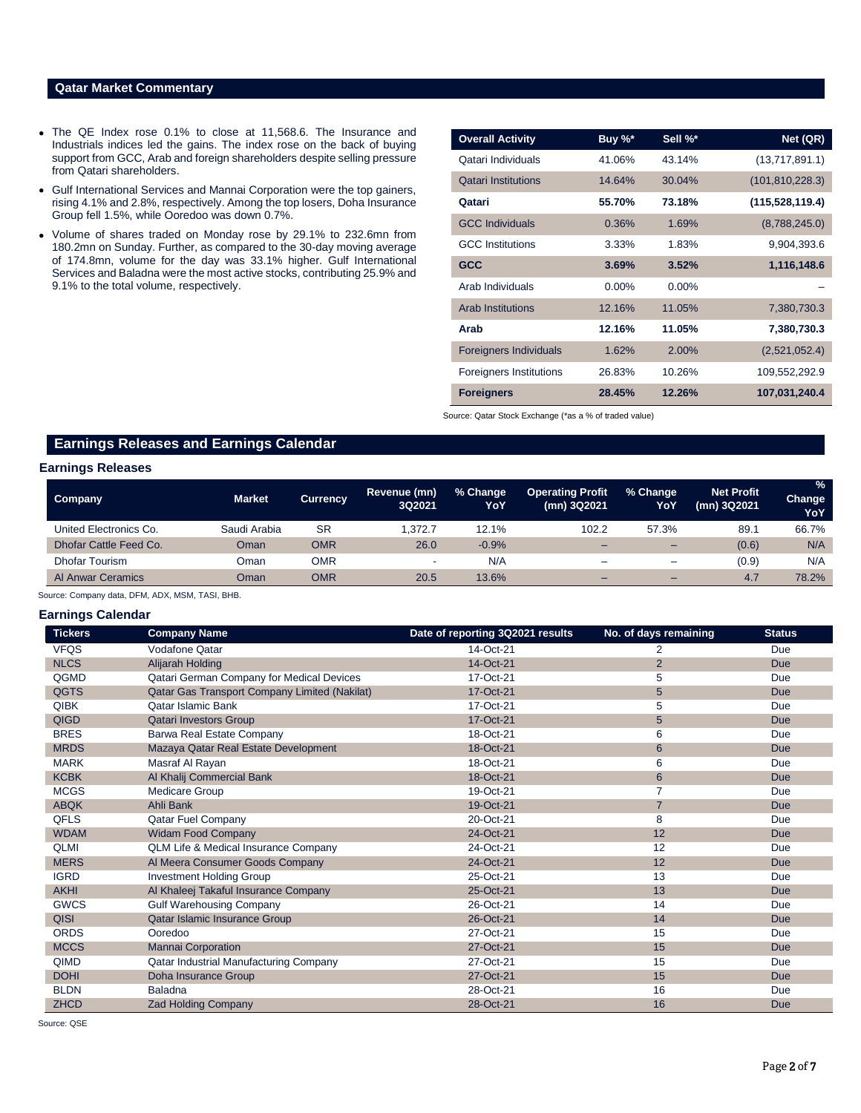### **Qatar Market Commentary**

- The QE Index rose 0.1% to close at 11,568.6. The Insurance and Industrials indices led the gains. The index rose on the back of buying support from GCC, Arab and foreign shareholders despite selling pressure from Qatari shareholders.
- Gulf International Services and Mannai Corporation were the top gainers, rising 4.1% and 2.8%, respectively. Among the top losers, Doha Insurance Group fell 1.5%, while Ooredoo was down 0.7%.
- Volume of shares traded on Monday rose by 29.1% to 232.6mn from 180.2mn on Sunday. Further, as compared to the 30-day moving average of 174.8mn, volume for the day was 33.1% higher. Gulf International Services and Baladna were the most active stocks, contributing 25.9% and 9.1% to the total volume, respectively.

| <b>Overall Activity</b>        | Buy %*   | Sell %*  | Net (QR)          |
|--------------------------------|----------|----------|-------------------|
| Qatari Individuals             | 41.06%   | 43.14%   | (13,717,891.1)    |
| <b>Qatari Institutions</b>     | 14.64%   | 30.04%   | (101, 810, 228.3) |
| Qatari                         | 55.70%   | 73.18%   | (115, 528, 119.4) |
| <b>GCC Individuals</b>         | 0.36%    | 1.69%    | (8,788,245.0)     |
| <b>GCC</b> Institutions        | 3.33%    | 1.83%    | 9,904,393.6       |
| <b>GCC</b>                     | 3.69%    | 3.52%    | 1,116,148.6       |
| Arab Individuals               | $0.00\%$ | $0.00\%$ |                   |
| <b>Arab Institutions</b>       | 12.16%   | 11.05%   | 7,380,730.3       |
| Arab                           | 12.16%   | 11.05%   | 7,380,730.3       |
| <b>Foreigners Individuals</b>  | 1.62%    | $2.00\%$ | (2,521,052.4)     |
| <b>Foreigners Institutions</b> | 26.83%   | 10.26%   | 109,552,292.9     |
| <b>Foreigners</b>              | 28.45%   | 12.26%   | 107,031,240.4     |

Source: Qatar Stock Exchange (\*as a % of traded value)

## **Earnings Releases and Earnings Calendar**

#### **Earnings Releases**

| Company                  | <b>Market</b> | <b>Currency</b> | Revenue (mn)<br>3Q2021 | % Change<br>YoY | <b>Operating Profit</b><br>(mn) 3Q2021 | % Change<br>YoY          | <b>Net Profit</b><br>(mn) 3Q2021 | $\frac{9}{6}$<br>Change<br>YoY |
|--------------------------|---------------|-----------------|------------------------|-----------------|----------------------------------------|--------------------------|----------------------------------|--------------------------------|
| United Electronics Co.   | Saudi Arabia  | <b>SR</b>       | .372.7                 | 12.1%           | 102.2                                  | 57.3%                    | 89.1                             | 66.7%                          |
| Dhofar Cattle Feed Co.   | Oman          | OMR             | 26.0                   | $-0.9%$         | -                                      | $\overline{\phantom{0}}$ | (0.6)                            | N/A                            |
| <b>Dhofar Tourism</b>    | Oman          | OMR             |                        | N/A             | -                                      | $\equiv$                 | (0.9)                            | N/A                            |
| <b>Al Anwar Ceramics</b> | Oman          | OMR             | 20.5                   | 13.6%           | -                                      | $\overline{\phantom{0}}$ | 4.7                              | 78.2%                          |

Source: Company data, DFM, ADX, MSM, TASI, BHB.

#### **Earnings Calendar**

| <b>Tickers</b> | <b>Company Name</b>                             | Date of reporting 3Q2021 results | No. of days remaining | <b>Status</b> |
|----------------|-------------------------------------------------|----------------------------------|-----------------------|---------------|
| <b>VFQS</b>    | <b>Vodafone Qatar</b>                           | 14-Oct-21                        | 2                     | Due           |
| <b>NLCS</b>    | Alijarah Holding                                | 14-Oct-21                        | $\overline{2}$        | <b>Due</b>    |
| QGMD           | Qatari German Company for Medical Devices       | 17-Oct-21                        | 5                     | Due           |
| <b>QGTS</b>    | Qatar Gas Transport Company Limited (Nakilat)   | 17-Oct-21                        | $5\phantom{.}$        | <b>Due</b>    |
| <b>QIBK</b>    | <b>Qatar Islamic Bank</b>                       | 17-Oct-21                        | 5                     | Due           |
| <b>QIGD</b>    | <b>Qatari Investors Group</b>                   | 17-Oct-21                        | $5\phantom{.0}$       | <b>Due</b>    |
| <b>BRES</b>    | Barwa Real Estate Company                       | 18-Oct-21                        | 6                     | Due           |
| <b>MRDS</b>    | Mazaya Qatar Real Estate Development            | 18-Oct-21                        | $\,6$                 | <b>Due</b>    |
| <b>MARK</b>    | Masraf Al Rayan                                 | 18-Oct-21                        | 6                     | Due           |
| <b>KCBK</b>    | Al Khalij Commercial Bank                       | 18-Oct-21                        | $6\phantom{1}6$       | <b>Due</b>    |
| <b>MCGS</b>    | <b>Medicare Group</b>                           | 19-Oct-21                        | 7                     | Due           |
| <b>ABQK</b>    | Ahli Bank                                       | 19-Oct-21                        | $\overline{7}$        | <b>Due</b>    |
| <b>QFLS</b>    | Qatar Fuel Company                              | 20-Oct-21                        | 8                     | Due           |
| <b>WDAM</b>    | <b>Widam Food Company</b>                       | 24-Oct-21                        | 12                    | <b>Due</b>    |
| <b>QLMI</b>    | <b>QLM Life &amp; Medical Insurance Company</b> | 24-Oct-21                        | 12                    | Due           |
| <b>MERS</b>    | Al Meera Consumer Goods Company                 | 24-Oct-21                        | 12                    | <b>Due</b>    |
| <b>IGRD</b>    | <b>Investment Holding Group</b>                 | 25-Oct-21                        | 13                    | <b>Due</b>    |
| <b>AKHI</b>    | Al Khaleej Takaful Insurance Company            | 25-Oct-21                        | 13                    | <b>Due</b>    |
| <b>GWCS</b>    | <b>Gulf Warehousing Company</b>                 | 26-Oct-21                        | 14                    | Due           |
| QISI           | Qatar Islamic Insurance Group                   | 26-Oct-21                        | 14                    | <b>Due</b>    |
| <b>ORDS</b>    | Ooredoo                                         | 27-Oct-21                        | 15                    | Due           |
| <b>MCCS</b>    | <b>Mannai Corporation</b>                       | 27-Oct-21                        | 15                    | <b>Due</b>    |
| QIMD           | Qatar Industrial Manufacturing Company          | 27-Oct-21                        | 15                    | Due           |
| <b>DOHI</b>    | Doha Insurance Group                            | 27-Oct-21                        | 15                    | <b>Due</b>    |
| <b>BLDN</b>    | <b>Baladna</b>                                  | 28-Oct-21                        | 16                    | Due           |
| <b>ZHCD</b>    | <b>Zad Holding Company</b>                      | 28-Oct-21                        | 16                    | <b>Due</b>    |

Source: QSE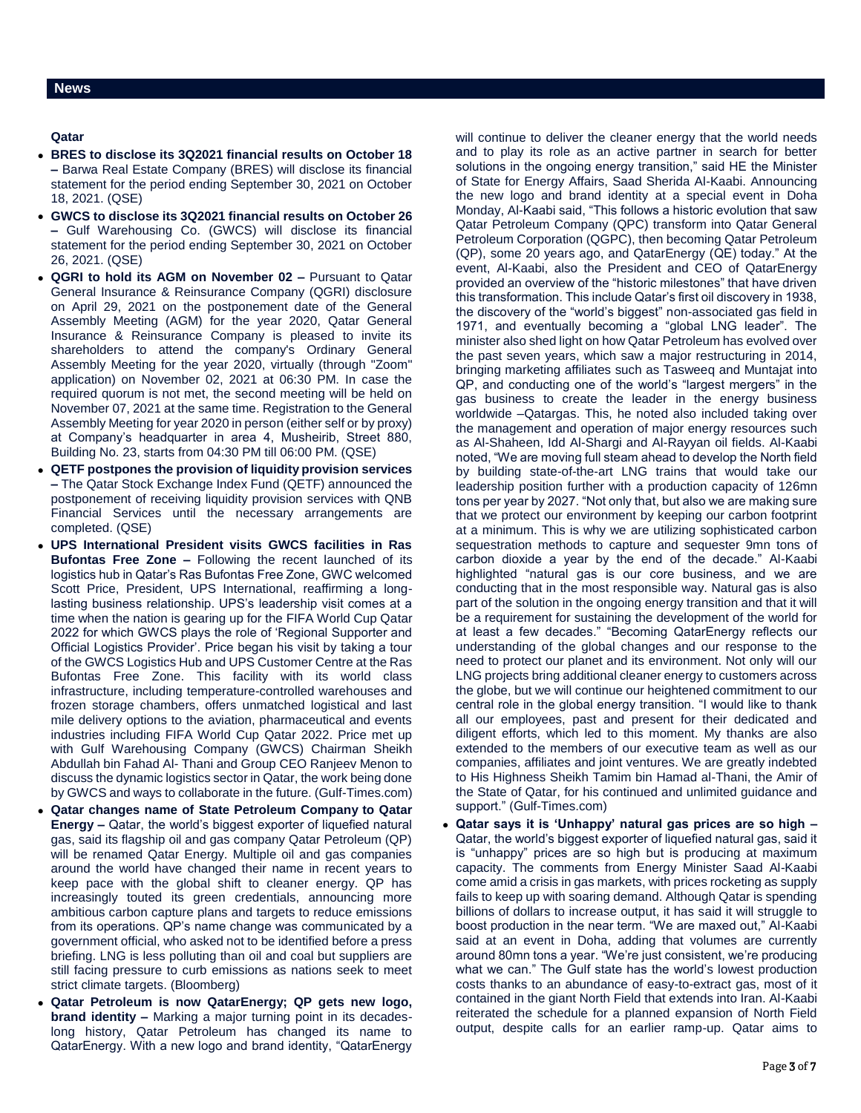**Qatar** 

- **BRES to disclose its 3Q2021 financial results on October 18 –** Barwa Real Estate Company (BRES) will disclose its financial statement for the period ending September 30, 2021 on October 18, 2021. (QSE)
- **GWCS to disclose its 3Q2021 financial results on October 26 –** Gulf Warehousing Co. (GWCS) will disclose its financial statement for the period ending September 30, 2021 on October 26, 2021. (QSE)
- **QGRI to hold its AGM on November 02 –** Pursuant to Qatar General Insurance & Reinsurance Company (QGRI) disclosure on April 29, 2021 on the postponement date of the General Assembly Meeting (AGM) for the year 2020, Qatar General Insurance & Reinsurance Company is pleased to invite its shareholders to attend the company's Ordinary General Assembly Meeting for the year 2020, virtually (through "Zoom" application) on November 02, 2021 at 06:30 PM. In case the required quorum is not met, the second meeting will be held on November 07, 2021 at the same time. Registration to the General Assembly Meeting for year 2020 in person (either self or by proxy) at Company's headquarter in area 4, Musheirib, Street 880, Building No. 23, starts from 04:30 PM till 06:00 PM. (QSE)
- **QETF postpones the provision of liquidity provision services –** The Qatar Stock Exchange Index Fund (QETF) announced the postponement of receiving liquidity provision services with QNB Financial Services until the necessary arrangements are completed. (QSE)
- **UPS International President visits GWCS facilities in Ras Bufontas Free Zone –** Following the recent launched of its logistics hub in Qatar's Ras Bufontas Free Zone, GWC welcomed Scott Price, President, UPS International, reaffirming a longlasting business relationship. UPS's leadership visit comes at a time when the nation is gearing up for the FIFA World Cup Qatar 2022 for which GWCS plays the role of 'Regional Supporter and Official Logistics Provider'. Price began his visit by taking a tour of the GWCS Logistics Hub and UPS Customer Centre at the Ras Bufontas Free Zone. This facility with its world class infrastructure, including temperature-controlled warehouses and frozen storage chambers, offers unmatched logistical and last mile delivery options to the aviation, pharmaceutical and events industries including FIFA World Cup Qatar 2022. Price met up with Gulf Warehousing Company (GWCS) Chairman Sheikh Abdullah bin Fahad Al- Thani and Group CEO Ranjeev Menon to discuss the dynamic logistics sector in Qatar, the work being done by GWCS and ways to collaborate in the future. (Gulf-Times.com)
- **Qatar changes name of State Petroleum Company to Qatar Energy –** Qatar, the world's biggest exporter of liquefied natural gas, said its flagship oil and gas company Qatar Petroleum (QP) will be renamed Qatar Energy. Multiple oil and gas companies around the world have changed their name in recent years to keep pace with the global shift to cleaner energy. QP has increasingly touted its green credentials, announcing more ambitious carbon capture plans and targets to reduce emissions from its operations. QP's name change was communicated by a government official, who asked not to be identified before a press briefing. LNG is less polluting than oil and coal but suppliers are still facing pressure to curb emissions as nations seek to meet strict climate targets. (Bloomberg)
- **Qatar Petroleum is now QatarEnergy; QP gets new logo, brand identity –** Marking a major turning point in its decadeslong history, Qatar Petroleum has changed its name to QatarEnergy. With a new logo and brand identity, "QatarEnergy

will continue to deliver the cleaner energy that the world needs and to play its role as an active partner in search for better solutions in the ongoing energy transition," said HE the Minister of State for Energy Affairs, Saad Sherida Al-Kaabi. Announcing the new logo and brand identity at a special event in Doha Monday, Al-Kaabi said, "This follows a historic evolution that saw Qatar Petroleum Company (QPC) transform into Qatar General Petroleum Corporation (QGPC), then becoming Qatar Petroleum (QP), some 20 years ago, and QatarEnergy (QE) today." At the event, Al-Kaabi, also the President and CEO of QatarEnergy provided an overview of the "historic milestones" that have driven this transformation. This include Qatar's first oil discovery in 1938, the discovery of the "world's biggest" non-associated gas field in 1971, and eventually becoming a "global LNG leader". The minister also shed light on how Qatar Petroleum has evolved over the past seven years, which saw a major restructuring in 2014, bringing marketing affiliates such as Tasweeq and Muntajat into QP, and conducting one of the world's "largest mergers" in the gas business to create the leader in the energy business worldwide –Qatargas. This, he noted also included taking over the management and operation of major energy resources such as Al-Shaheen, Idd Al-Shargi and Al-Rayyan oil fields. Al-Kaabi noted, "We are moving full steam ahead to develop the North field by building state-of-the-art LNG trains that would take our leadership position further with a production capacity of 126mn tons per year by 2027. "Not only that, but also we are making sure that we protect our environment by keeping our carbon footprint at a minimum. This is why we are utilizing sophisticated carbon sequestration methods to capture and sequester 9mn tons of carbon dioxide a year by the end of the decade." Al-Kaabi highlighted "natural gas is our core business, and we are conducting that in the most responsible way. Natural gas is also part of the solution in the ongoing energy transition and that it will be a requirement for sustaining the development of the world for at least a few decades." "Becoming QatarEnergy reflects our understanding of the global changes and our response to the need to protect our planet and its environment. Not only will our LNG projects bring additional cleaner energy to customers across the globe, but we will continue our heightened commitment to our central role in the global energy transition. "I would like to thank all our employees, past and present for their dedicated and diligent efforts, which led to this moment. My thanks are also extended to the members of our executive team as well as our companies, affiliates and joint ventures. We are greatly indebted to His Highness Sheikh Tamim bin Hamad al-Thani, the Amir of the State of Qatar, for his continued and unlimited guidance and support." (Gulf-Times.com)

 **Qatar says it is 'Unhappy' natural gas prices are so high –** Qatar, the world's biggest exporter of liquefied natural gas, said it is "unhappy" prices are so high but is producing at maximum capacity. The comments from Energy Minister Saad Al-Kaabi come amid a crisis in gas markets, with prices rocketing as supply fails to keep up with soaring demand. Although Qatar is spending billions of dollars to increase output, it has said it will struggle to boost production in the near term. "We are maxed out," Al-Kaabi said at an event in Doha, adding that volumes are currently around 80mn tons a year. "We're just consistent, we're producing what we can." The Gulf state has the world's lowest production costs thanks to an abundance of easy-to-extract gas, most of it contained in the giant North Field that extends into Iran. Al-Kaabi reiterated the schedule for a planned expansion of North Field output, despite calls for an earlier ramp-up. Qatar aims to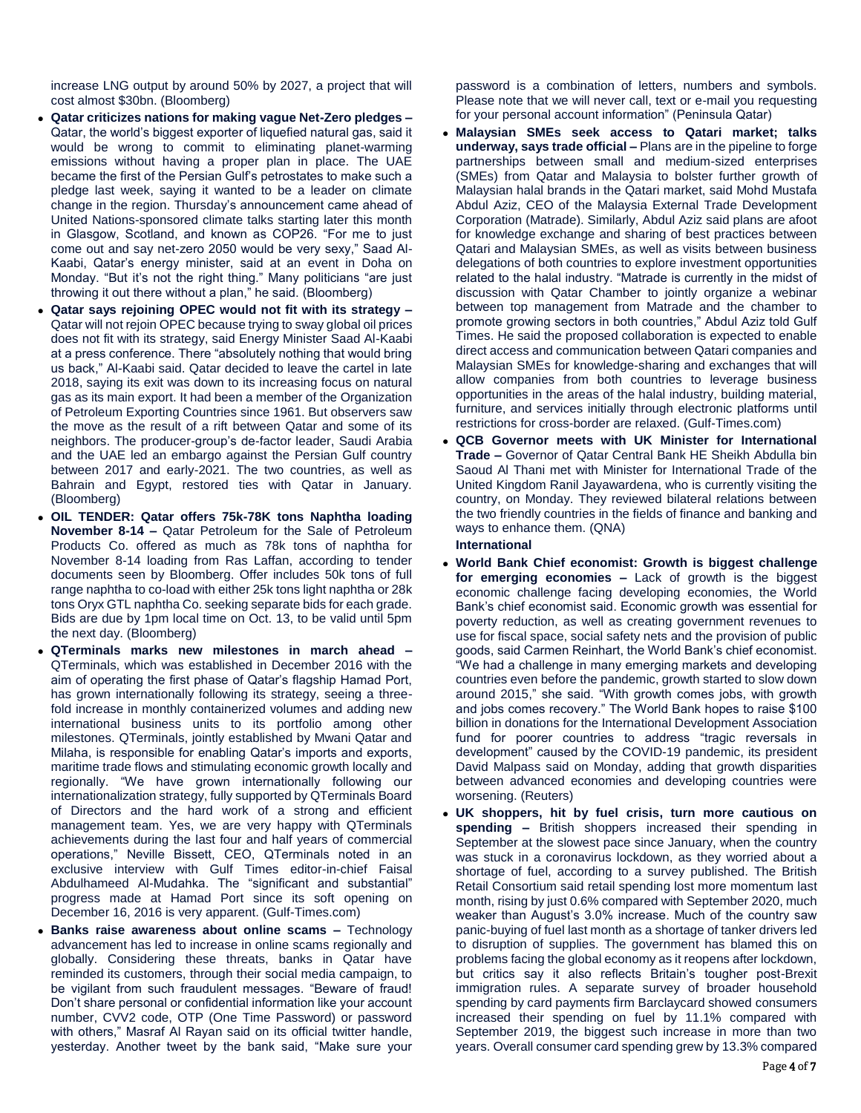increase LNG output by around 50% by 2027, a project that will cost almost \$30bn. (Bloomberg)

- **Qatar criticizes nations for making vague Net-Zero pledges –** Qatar, the world's biggest exporter of liquefied natural gas, said it would be wrong to commit to eliminating planet-warming emissions without having a proper plan in place. The UAE became the first of the Persian Gulf's petrostates to make such a pledge last week, saying it wanted to be a leader on climate change in the region. Thursday's announcement came ahead of United Nations-sponsored climate talks starting later this month in Glasgow, Scotland, and known as COP26. "For me to just come out and say net-zero 2050 would be very sexy," Saad Al-Kaabi, Qatar's energy minister, said at an event in Doha on Monday. "But it's not the right thing." Many politicians "are just throwing it out there without a plan," he said. (Bloomberg)
- **Qatar says rejoining OPEC would not fit with its strategy –** Qatar will not rejoin OPEC because trying to sway global oil prices does not fit with its strategy, said Energy Minister Saad Al-Kaabi at a press conference. There "absolutely nothing that would bring us back," Al-Kaabi said. Qatar decided to leave the cartel in late 2018, saying its exit was down to its increasing focus on natural gas as its main export. It had been a member of the Organization of Petroleum Exporting Countries since 1961. But observers saw the move as the result of a rift between Qatar and some of its neighbors. The producer-group's de-factor leader, Saudi Arabia and the UAE led an embargo against the Persian Gulf country between 2017 and early-2021. The two countries, as well as Bahrain and Egypt, restored ties with Qatar in January. (Bloomberg)
- **OIL TENDER: Qatar offers 75k-78K tons Naphtha loading November 8-14 –** Qatar Petroleum for the Sale of Petroleum Products Co. offered as much as 78k tons of naphtha for November 8-14 loading from Ras Laffan, according to tender documents seen by Bloomberg. Offer includes 50k tons of full range naphtha to co-load with either 25k tons light naphtha or 28k tons Oryx GTL naphtha Co. seeking separate bids for each grade. Bids are due by 1pm local time on Oct. 13, to be valid until 5pm the next day. (Bloomberg)
- **QTerminals marks new milestones in march ahead –** QTerminals, which was established in December 2016 with the aim of operating the first phase of Qatar's flagship Hamad Port, has grown internationally following its strategy, seeing a threefold increase in monthly containerized volumes and adding new international business units to its portfolio among other milestones. QTerminals, jointly established by Mwani Qatar and Milaha, is responsible for enabling Qatar's imports and exports, maritime trade flows and stimulating economic growth locally and regionally. "We have grown internationally following our internationalization strategy, fully supported by QTerminals Board of Directors and the hard work of a strong and efficient management team. Yes, we are very happy with QTerminals achievements during the last four and half years of commercial operations," Neville Bissett, CEO, QTerminals noted in an exclusive interview with Gulf Times editor-in-chief Faisal Abdulhameed Al-Mudahka. The "significant and substantial" progress made at Hamad Port since its soft opening on December 16, 2016 is very apparent. (Gulf-Times.com)
- **Banks raise awareness about online scams –** Technology advancement has led to increase in online scams regionally and globally. Considering these threats, banks in Qatar have reminded its customers, through their social media campaign, to be vigilant from such fraudulent messages. "Beware of fraud! Don't share personal or confidential information like your account number, CVV2 code, OTP (One Time Password) or password with others," Masraf Al Rayan said on its official twitter handle, yesterday. Another tweet by the bank said, "Make sure your

password is a combination of letters, numbers and symbols. Please note that we will never call, text or e-mail you requesting for your personal account information" (Peninsula Qatar)

- **Malaysian SMEs seek access to Qatari market; talks underway, says trade official –** Plans are in the pipeline to forge partnerships between small and medium-sized enterprises (SMEs) from Qatar and Malaysia to bolster further growth of Malaysian halal brands in the Qatari market, said Mohd Mustafa Abdul Aziz, CEO of the Malaysia External Trade Development Corporation (Matrade). Similarly, Abdul Aziz said plans are afoot for knowledge exchange and sharing of best practices between Qatari and Malaysian SMEs, as well as visits between business delegations of both countries to explore investment opportunities related to the halal industry. "Matrade is currently in the midst of discussion with Qatar Chamber to jointly organize a webinar between top management from Matrade and the chamber to promote growing sectors in both countries," Abdul Aziz told Gulf Times. He said the proposed collaboration is expected to enable direct access and communication between Qatari companies and Malaysian SMEs for knowledge-sharing and exchanges that will allow companies from both countries to leverage business opportunities in the areas of the halal industry, building material, furniture, and services initially through electronic platforms until restrictions for cross-border are relaxed. (Gulf-Times.com)
- **QCB Governor meets with UK Minister for International Trade –** Governor of Qatar Central Bank HE Sheikh Abdulla bin Saoud Al Thani met with Minister for International Trade of the United Kingdom Ranil Jayawardena, who is currently visiting the country, on Monday. They reviewed bilateral relations between the two friendly countries in the fields of finance and banking and ways to enhance them. (QNA)

#### **International**

- **World Bank Chief economist: Growth is biggest challenge for emerging economies –** Lack of growth is the biggest economic challenge facing developing economies, the World Bank's chief economist said. Economic growth was essential for poverty reduction, as well as creating government revenues to use for fiscal space, social safety nets and the provision of public goods, said Carmen Reinhart, the World Bank's chief economist. "We had a challenge in many emerging markets and developing countries even before the pandemic, growth started to slow down around 2015," she said. "With growth comes jobs, with growth and jobs comes recovery." The World Bank hopes to raise \$100 billion in donations for the International Development Association fund for poorer countries to address "tragic reversals in development" caused by the COVID-19 pandemic, its president David Malpass said on Monday, adding that growth disparities between advanced economies and developing countries were worsening. (Reuters)
- **UK shoppers, hit by fuel crisis, turn more cautious on spending –** British shoppers increased their spending in September at the slowest pace since January, when the country was stuck in a coronavirus lockdown, as they worried about a shortage of fuel, according to a survey published. The British Retail Consortium said retail spending lost more momentum last month, rising by just 0.6% compared with September 2020, much weaker than August's 3.0% increase. Much of the country saw panic-buying of fuel last month as a shortage of tanker drivers led to disruption of supplies. The government has blamed this on problems facing the global economy as it reopens after lockdown, but critics say it also reflects Britain's tougher post-Brexit immigration rules. A separate survey of broader household spending by card payments firm Barclaycard showed consumers increased their spending on fuel by 11.1% compared with September 2019, the biggest such increase in more than two years. Overall consumer card spending grew by 13.3% compared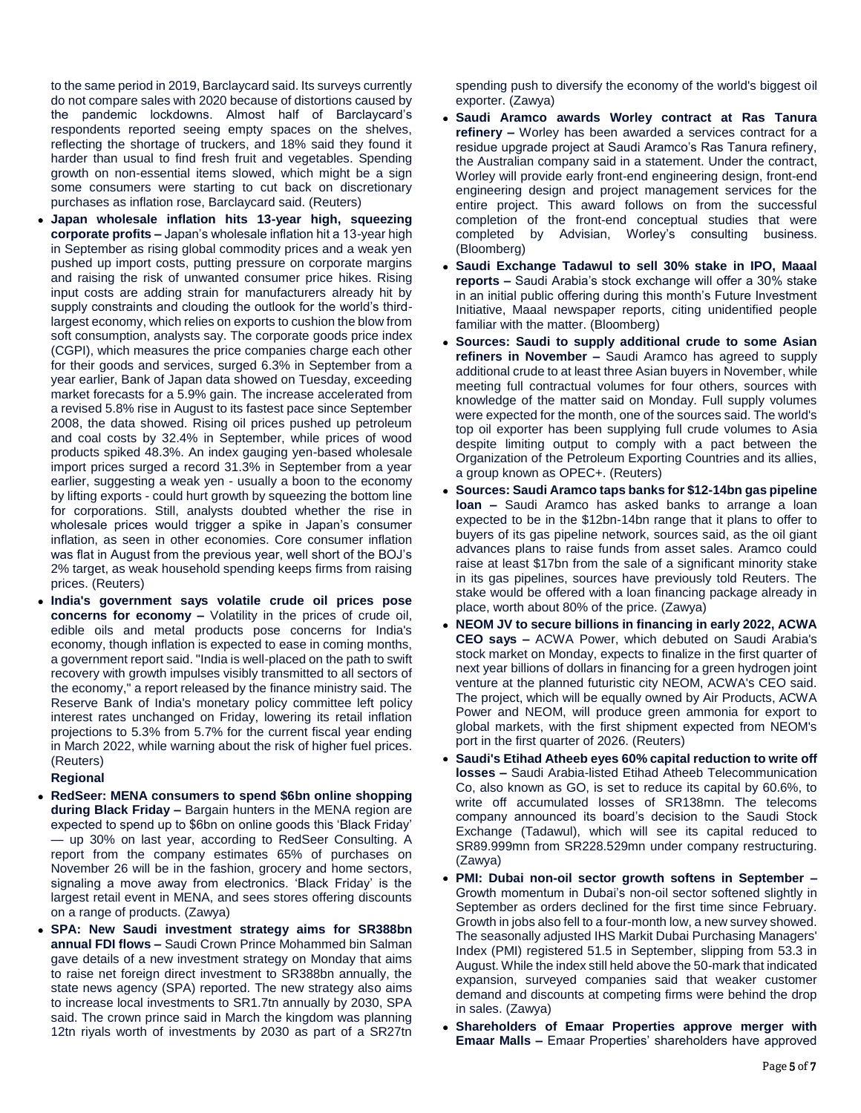to the same period in 2019, Barclaycard said. Its surveys currently do not compare sales with 2020 because of distortions caused by the pandemic lockdowns. Almost half of Barclaycard's respondents reported seeing empty spaces on the shelves, reflecting the shortage of truckers, and 18% said they found it harder than usual to find fresh fruit and vegetables. Spending growth on non-essential items slowed, which might be a sign some consumers were starting to cut back on discretionary purchases as inflation rose, Barclaycard said. (Reuters)

- **Japan wholesale inflation hits 13-year high, squeezing corporate profits –** Japan's wholesale inflation hit a 13-year high in September as rising global commodity prices and a weak yen pushed up import costs, putting pressure on corporate margins and raising the risk of unwanted consumer price hikes. Rising input costs are adding strain for manufacturers already hit by supply constraints and clouding the outlook for the world's thirdlargest economy, which relies on exports to cushion the blow from soft consumption, analysts say. The corporate goods price index (CGPI), which measures the price companies charge each other for their goods and services, surged 6.3% in September from a year earlier, Bank of Japan data showed on Tuesday, exceeding market forecasts for a 5.9% gain. The increase accelerated from a revised 5.8% rise in August to its fastest pace since September 2008, the data showed. Rising oil prices pushed up petroleum and coal costs by 32.4% in September, while prices of wood products spiked 48.3%. An index gauging yen-based wholesale import prices surged a record 31.3% in September from a year earlier, suggesting a weak yen - usually a boon to the economy by lifting exports - could hurt growth by squeezing the bottom line for corporations. Still, analysts doubted whether the rise in wholesale prices would trigger a spike in Japan's consumer inflation, as seen in other economies. Core consumer inflation was flat in August from the previous year, well short of the BOJ's 2% target, as weak household spending keeps firms from raising prices. (Reuters)
- **India's government says volatile crude oil prices pose concerns for economy –** Volatility in the prices of crude oil, edible oils and metal products pose concerns for India's economy, though inflation is expected to ease in coming months, a government report said. "India is well-placed on the path to swift recovery with growth impulses visibly transmitted to all sectors of the economy," a report released by the finance ministry said. The Reserve Bank of India's monetary policy committee left policy interest rates unchanged on Friday, lowering its retail inflation projections to 5.3% from 5.7% for the current fiscal year ending in March 2022, while warning about the risk of higher fuel prices. (Reuters)

### **Regional**

- **RedSeer: MENA consumers to spend \$6bn online shopping during Black Friday –** Bargain hunters in the MENA region are expected to spend up to \$6bn on online goods this 'Black Friday' — up 30% on last year, according to RedSeer Consulting. A report from the company estimates 65% of purchases on November 26 will be in the fashion, grocery and home sectors, signaling a move away from electronics. 'Black Friday' is the largest retail event in MENA, and sees stores offering discounts on a range of products. (Zawya)
- **SPA: New Saudi investment strategy aims for SR388bn annual FDI flows –** Saudi Crown Prince Mohammed bin Salman gave details of a new investment strategy on Monday that aims to raise net foreign direct investment to SR388bn annually, the state news agency (SPA) reported. The new strategy also aims to increase local investments to SR1.7tn annually by 2030, SPA said. The crown prince said in March the kingdom was planning 12tn riyals worth of investments by 2030 as part of a SR27tn

spending push to diversify the economy of the world's biggest oil exporter. (Zawya)

- **Saudi Aramco awards Worley contract at Ras Tanura refinery –** Worley has been awarded a services contract for a residue upgrade project at Saudi Aramco's Ras Tanura refinery, the Australian company said in a statement. Under the contract, Worley will provide early front-end engineering design, front-end engineering design and project management services for the entire project. This award follows on from the successful completion of the front-end conceptual studies that were completed by Advisian, Worley's consulting business. (Bloomberg)
- **Saudi Exchange Tadawul to sell 30% stake in IPO, Maaal reports –** Saudi Arabia's stock exchange will offer a 30% stake in an initial public offering during this month's Future Investment Initiative, Maaal newspaper reports, citing unidentified people familiar with the matter. (Bloomberg)
- **Sources: Saudi to supply additional crude to some Asian refiners in November –** Saudi Aramco has agreed to supply additional crude to at least three Asian buyers in November, while meeting full contractual volumes for four others, sources with knowledge of the matter said on Monday. Full supply volumes were expected for the month, one of the sources said. The world's top oil exporter has been supplying full crude volumes to Asia despite limiting output to comply with a pact between the Organization of the Petroleum Exporting Countries and its allies, a group known as OPEC+. (Reuters)
- **Sources: Saudi Aramco taps banks for \$12-14bn gas pipeline loan –** Saudi Aramco has asked banks to arrange a loan expected to be in the \$12bn-14bn range that it plans to offer to buyers of its gas pipeline network, sources said, as the oil giant advances plans to raise funds from asset sales. Aramco could raise at least \$17bn from the sale of a significant minority stake in its gas pipelines, sources have previously told Reuters. The stake would be offered with a loan financing package already in place, worth about 80% of the price. (Zawya)
- **NEOM JV to secure billions in financing in early 2022, ACWA CEO says –** ACWA Power, which debuted on Saudi Arabia's stock market on Monday, expects to finalize in the first quarter of next year billions of dollars in financing for a green hydrogen joint venture at the planned futuristic city NEOM, ACWA's CEO said. The project, which will be equally owned by Air Products, ACWA Power and NEOM, will produce green ammonia for export to global markets, with the first shipment expected from NEOM's port in the first quarter of 2026. (Reuters)
- **Saudi's Etihad Atheeb eyes 60% capital reduction to write off losses –** Saudi Arabia-listed Etihad Atheeb Telecommunication Co, also known as GO, is set to reduce its capital by 60.6%, to write off accumulated losses of SR138mn. The telecoms company announced its board's decision to the Saudi Stock Exchange (Tadawul), which will see its capital reduced to SR89.999mn from SR228.529mn under company restructuring. (Zawya)
- **PMI: Dubai non-oil sector growth softens in September**  Growth momentum in Dubai's non-oil sector softened slightly in September as orders declined for the first time since February. Growth in jobs also fell to a four-month low, a new survey showed. The seasonally adjusted IHS Markit Dubai Purchasing Managers' Index (PMI) registered 51.5 in September, slipping from 53.3 in August. While the index still held above the 50-mark that indicated expansion, surveyed companies said that weaker customer demand and discounts at competing firms were behind the drop in sales. (Zawya)
- **Shareholders of Emaar Properties approve merger with Emaar Malls –** Emaar Properties' shareholders have approved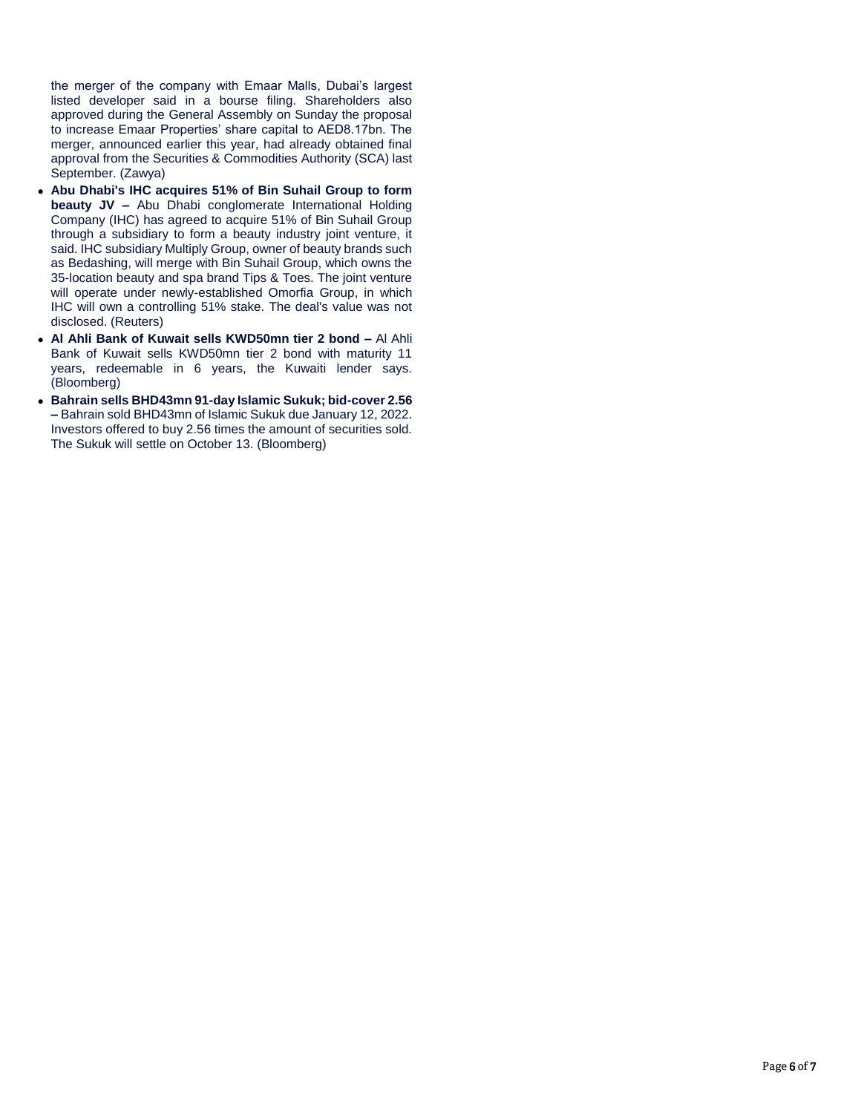the merger of the company with Emaar Malls, Dubai's largest listed developer said in a bourse filing. Shareholders also approved during the General Assembly on Sunday the proposal to increase Emaar Properties' share capital to AED8.17bn. The merger, announced earlier this year, had already obtained final approval from the Securities & Commodities Authority (SCA) last September. (Zawya)

- **Abu Dhabi's IHC acquires 51% of Bin Suhail Group to form beauty JV –** Abu Dhabi conglomerate International Holding Company (IHC) has agreed to acquire 51% of Bin Suhail Group through a subsidiary to form a beauty industry joint venture, it said. IHC subsidiary Multiply Group, owner of beauty brands such as Bedashing, will merge with Bin Suhail Group, which owns the 35-location beauty and spa brand Tips & Toes. The joint venture will operate under newly-established Omorfia Group, in which IHC will own a controlling 51% stake. The deal's value was not disclosed. (Reuters)
- **Al Ahli Bank of Kuwait sells KWD50mn tier 2 bond –** Al Ahli Bank of Kuwait sells KWD50mn tier 2 bond with maturity 11 years, redeemable in 6 years, the Kuwaiti lender says. (Bloomberg)
- **Bahrain sells BHD43mn 91-day Islamic Sukuk; bid-cover 2.56 –** Bahrain sold BHD43mn of Islamic Sukuk due January 12, 2022. Investors offered to buy 2.56 times the amount of securities sold. The Sukuk will settle on October 13. (Bloomberg)